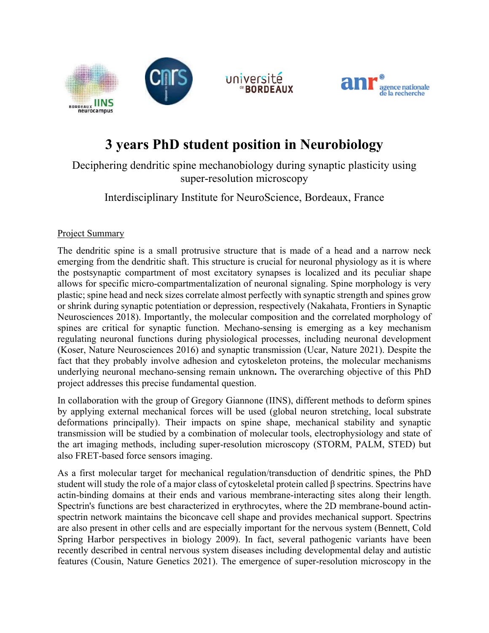



## **3 years PhD student position in Neurobiology**

Deciphering dendritic spine mechanobiology during synaptic plasticity using super-resolution microscopy

Interdisciplinary Institute for NeuroScience, Bordeaux, France

## Project Summary

The dendritic spine is a small protrusive structure that is made of a head and a narrow neck emerging from the dendritic shaft. This structure is crucial for neuronal physiology as it is where the postsynaptic compartment of most excitatory synapses is localized and its peculiar shape allows for specific micro-compartmentalization of neuronal signaling. Spine morphology is very plastic; spine head and neck sizes correlate almost perfectly with synaptic strength and spines grow or shrink during synaptic potentiation or depression, respectively (Nakahata, Frontiers in Synaptic Neurosciences 2018). Importantly, the molecular composition and the correlated morphology of spines are critical for synaptic function. Mechano-sensing is emerging as a key mechanism regulating neuronal functions during physiological processes, including neuronal development (Koser, Nature Neurosciences 2016) and synaptic transmission (Ucar, Nature 2021). Despite the fact that they probably involve adhesion and cytoskeleton proteins, the molecular mechanisms underlying neuronal mechano-sensing remain unknown**.** The overarching objective of this PhD project addresses this precise fundamental question.

In collaboration with the group of Gregory Giannone (IINS), different methods to deform spines by applying external mechanical forces will be used (global neuron stretching, local substrate deformations principally). Their impacts on spine shape, mechanical stability and synaptic transmission will be studied by a combination of molecular tools, electrophysiology and state of the art imaging methods, including super-resolution microscopy (STORM, PALM, STED) but also FRET-based force sensors imaging.

As a first molecular target for mechanical regulation/transduction of dendritic spines, the PhD student will study the role of a major class of cytoskeletal protein called β spectrins. Spectrins have actin-binding domains at their ends and various membrane-interacting sites along their length. Spectrin's functions are best characterized in erythrocytes, where the 2D membrane-bound actinspectrin network maintains the biconcave cell shape and provides mechanical support. Spectrins are also present in other cells and are especially important for the nervous system (Bennett, Cold Spring Harbor perspectives in biology 2009). In fact, several pathogenic variants have been recently described in central nervous system diseases including developmental delay and autistic features (Cousin, Nature Genetics 2021). The emergence of super-resolution microscopy in the